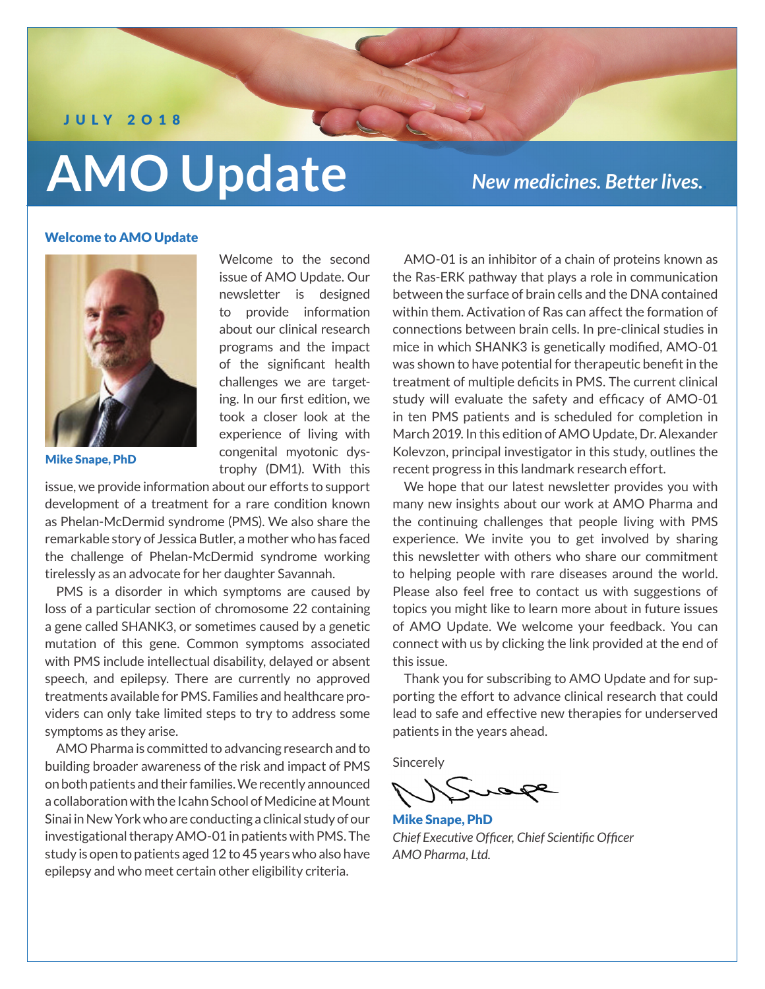J U LY 2O18

# **AMO Update**

*New medicines. Better lives..*

# Welcome to AMO Update



Mike Snape, PhD

Welcome to the second issue of AMO Update. Our newsletter is designed to provide information about our clinical research programs and the impact of the significant health challenges we are targeting. In our first edition, we took a closer look at the experience of living with congenital myotonic dystrophy (DM1). With this

issue, we provide information about our efforts to support development of a treatment for a rare condition known as Phelan-McDermid syndrome (PMS). We also share the remarkable story of Jessica Butler, a mother who has faced the challenge of Phelan-McDermid syndrome working tirelessly as an advocate for her daughter Savannah.

PMS is a disorder in which symptoms are caused by loss of a particular section of chromosome 22 containing a gene called SHANK3, or sometimes caused by a genetic mutation of this gene. Common symptoms associated with PMS include intellectual disability, delayed or absent speech, and epilepsy. There are currently no approved treatments available for PMS. Families and healthcare providers can only take limited steps to try to address some symptoms as they arise.

AMO Pharma is committed to advancing research and to building broader awareness of the risk and impact of PMS on both patients and their families. We recently announced a collaboration with the Icahn School of Medicine at Mount Sinai in New York who are conducting a clinical study of our investigational therapy AMO-01 in patients with PMS. The study is open to patients aged 12 to 45 years who also have epilepsy and who meet certain other eligibility criteria.

AMO-01 is an inhibitor of a chain of proteins known as the Ras-ERK pathway that plays a role in communication between the surface of brain cells and the DNA contained within them. Activation of Ras can affect the formation of connections between brain cells. In pre-clinical studies in mice in which SHANK3 is genetically modified, AMO-01 was shown to have potential for therapeutic benefit in the treatment of multiple deficits in PMS. The current clinical study will evaluate the safety and efficacy of AMO-01 in ten PMS patients and is scheduled for completion in March 2019. In this edition of AMO Update, Dr. Alexander Kolevzon, principal investigator in this study, outlines the recent progress in this landmark research effort.

We hope that our latest newsletter provides you with many new insights about our work at AMO Pharma and the continuing challenges that people living with PMS experience. We invite you to get involved by sharing this newsletter with others who share our commitment to helping people with rare diseases around the world. Please also feel free to contact us with suggestions of topics you might like to learn more about in future issues of AMO Update. We welcome your feedback. You can connect with us by clicking the link provided at the end of this issue.

Thank you for subscribing to AMO Update and for supporting the effort to advance clinical research that could lead to safe and effective new therapies for underserved patients in the years ahead.

Sincerely

Mike Snape, PhD *Chief Executive Officer, Chief Scientific Officer AMO Pharma, Ltd.*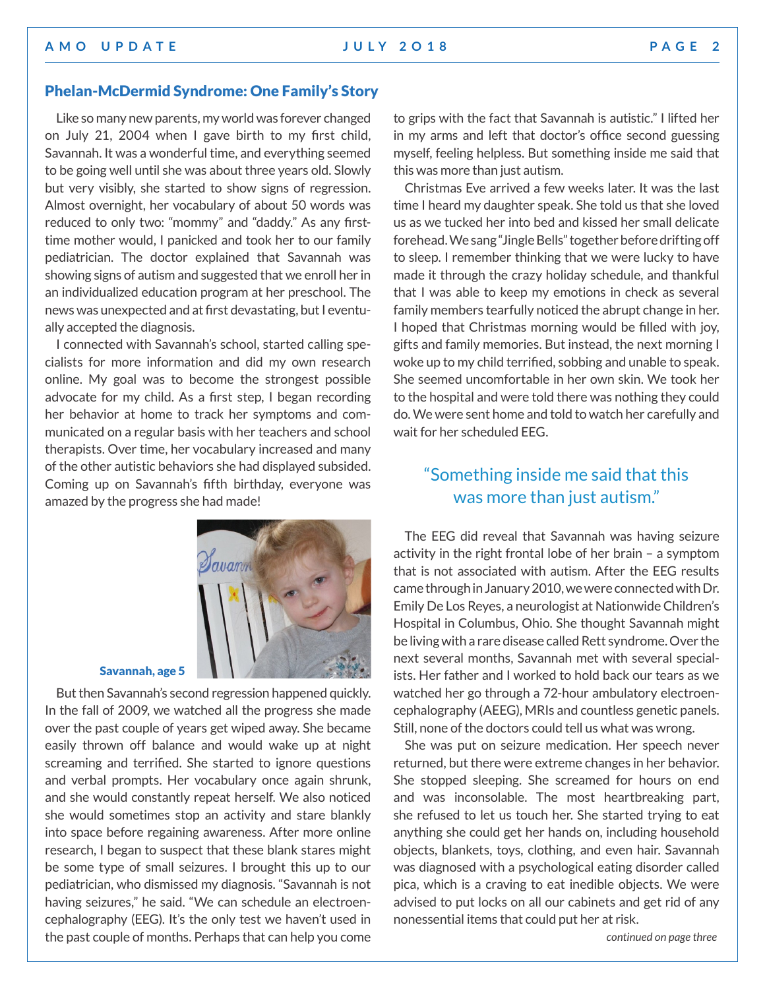# Phelan-McDermid Syndrome: One Family's Story

Like so many new parents, my world was forever changed on July 21, 2004 when I gave birth to my first child, Savannah. It was a wonderful time, and everything seemed to be going well until she was about three years old. Slowly but very visibly, she started to show signs of regression. Almost overnight, her vocabulary of about 50 words was reduced to only two: "mommy" and "daddy." As any firsttime mother would, I panicked and took her to our family pediatrician. The doctor explained that Savannah was showing signs of autism and suggested that we enroll her in an individualized education program at her preschool. The news was unexpected and at first devastating, but I eventually accepted the diagnosis.

I connected with Savannah's school, started calling specialists for more information and did my own research online. My goal was to become the strongest possible advocate for my child. As a first step, I began recording her behavior at home to track her symptoms and communicated on a regular basis with her teachers and school therapists. Over time, her vocabulary increased and many of the other autistic behaviors she had displayed subsided. Coming up on Savannah's fifth birthday, everyone was amazed by the progress she had made!



### Savannah, age 5

But then Savannah's second regression happened quickly. In the fall of 2009, we watched all the progress she made over the past couple of years get wiped away. She became easily thrown off balance and would wake up at night screaming and terrified. She started to ignore questions and verbal prompts. Her vocabulary once again shrunk, and she would constantly repeat herself. We also noticed she would sometimes stop an activity and stare blankly into space before regaining awareness. After more online research, I began to suspect that these blank stares might be some type of small seizures. I brought this up to our pediatrician, who dismissed my diagnosis. "Savannah is not having seizures," he said. "We can schedule an electroencephalography (EEG). It's the only test we haven't used in the past couple of months. Perhaps that can help you come

to grips with the fact that Savannah is autistic." I lifted her in my arms and left that doctor's office second guessing myself, feeling helpless. But something inside me said that this was more than just autism.

Christmas Eve arrived a few weeks later. It was the last time I heard my daughter speak. She told us that she loved us as we tucked her into bed and kissed her small delicate forehead. We sang "Jingle Bells" together before drifting off to sleep. I remember thinking that we were lucky to have made it through the crazy holiday schedule, and thankful that I was able to keep my emotions in check as several family members tearfully noticed the abrupt change in her. I hoped that Christmas morning would be filled with joy, gifts and family memories. But instead, the next morning I woke up to my child terrified, sobbing and unable to speak. She seemed uncomfortable in her own skin. We took her to the hospital and were told there was nothing they could do. We were sent home and told to watch her carefully and wait for her scheduled EEG.

# "Something inside me said that this was more than just autism."

The EEG did reveal that Savannah was having seizure activity in the right frontal lobe of her brain – a symptom that is not associated with autism. After the EEG results came through in January 2010, we were connected with Dr. Emily De Los Reyes, a neurologist at Nationwide Children's Hospital in Columbus, Ohio. She thought Savannah might be living with a rare disease called Rett syndrome. Over the next several months, Savannah met with several specialists. Her father and I worked to hold back our tears as we watched her go through a 72-hour ambulatory electroencephalography (AEEG), MRIs and countless genetic panels. Still, none of the doctors could tell us what was wrong.

She was put on seizure medication. Her speech never returned, but there were extreme changes in her behavior. She stopped sleeping. She screamed for hours on end and was inconsolable. The most heartbreaking part, she refused to let us touch her. She started trying to eat anything she could get her hands on, including household objects, blankets, toys, clothing, and even hair. Savannah was diagnosed with a psychological eating disorder called pica, which is a craving to eat inedible objects. We were advised to put locks on all our cabinets and get rid of any nonessential items that could put her at risk.

*continued on page three*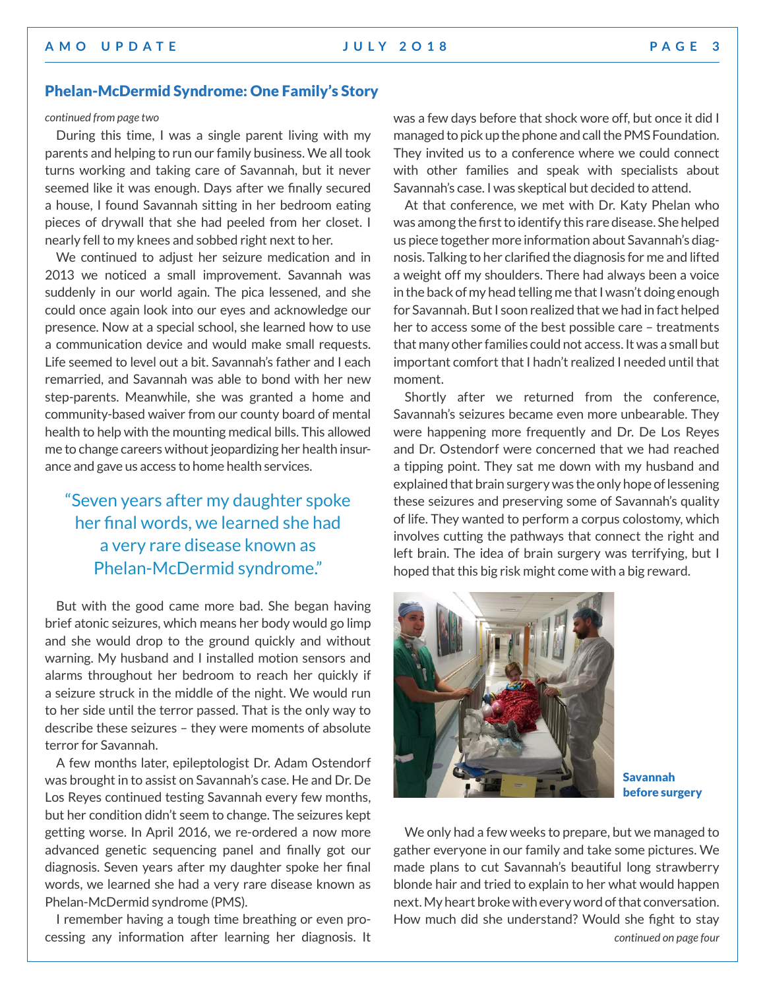# Phelan-McDermid Syndrome: One Family's Story

### *continued from page two*

During this time, I was a single parent living with my parents and helping to run our family business. We all took turns working and taking care of Savannah, but it never seemed like it was enough. Days after we finally secured a house, I found Savannah sitting in her bedroom eating pieces of drywall that she had peeled from her closet. I nearly fell to my knees and sobbed right next to her.

We continued to adjust her seizure medication and in 2013 we noticed a small improvement. Savannah was suddenly in our world again. The pica lessened, and she could once again look into our eyes and acknowledge our presence. Now at a special school, she learned how to use a communication device and would make small requests. Life seemed to level out a bit. Savannah's father and I each remarried, and Savannah was able to bond with her new step-parents. Meanwhile, she was granted a home and community-based waiver from our county board of mental health to help with the mounting medical bills. This allowed me to change careers without jeopardizing her health insurance and gave us access to home health services.

# "Seven years after my daughter spoke her final words, we learned she had a very rare disease known as Phelan-McDermid syndrome."

But with the good came more bad. She began having brief atonic seizures, which means her body would go limp and she would drop to the ground quickly and without warning. My husband and I installed motion sensors and alarms throughout her bedroom to reach her quickly if a seizure struck in the middle of the night. We would run to her side until the terror passed. That is the only way to describe these seizures – they were moments of absolute terror for Savannah.

A few months later, epileptologist Dr. Adam Ostendorf was brought in to assist on Savannah's case. He and Dr. De Los Reyes continued testing Savannah every few months, but her condition didn't seem to change. The seizures kept getting worse. In April 2016, we re-ordered a now more advanced genetic sequencing panel and finally got our diagnosis. Seven years after my daughter spoke her final words, we learned she had a very rare disease known as Phelan-McDermid syndrome (PMS).

I remember having a tough time breathing or even processing any information after learning her diagnosis. It was a few days before that shock wore off, but once it did I managed to pick up the phone and call the PMS Foundation. They invited us to a conference where we could connect with other families and speak with specialists about Savannah's case. I was skeptical but decided to attend.

At that conference, we met with Dr. Katy Phelan who was among the first to identify this rare disease. She helped us piece together more information about Savannah's diagnosis. Talking to her clarified the diagnosis for me and lifted a weight off my shoulders. There had always been a voice in the back of my head telling me that I wasn't doing enough for Savannah. But I soon realized that we had in fact helped her to access some of the best possible care – treatments that many other families could not access. It was a small but important comfort that I hadn't realized I needed until that moment.

Shortly after we returned from the conference, Savannah's seizures became even more unbearable. They were happening more frequently and Dr. De Los Reyes and Dr. Ostendorf were concerned that we had reached a tipping point. They sat me down with my husband and explained that brain surgery was the only hope of lessening these seizures and preserving some of Savannah's quality of life. They wanted to perform a corpus colostomy, which involves cutting the pathways that connect the right and left brain. The idea of brain surgery was terrifying, but I hoped that this big risk might come with a big reward.



Savannah before surgery

We only had a few weeks to prepare, but we managed to gather everyone in our family and take some pictures. We made plans to cut Savannah's beautiful long strawberry blonde hair and tried to explain to her what would happen next. My heart broke with every word of that conversation. How much did she understand? Would she fight to stay *continued on page four*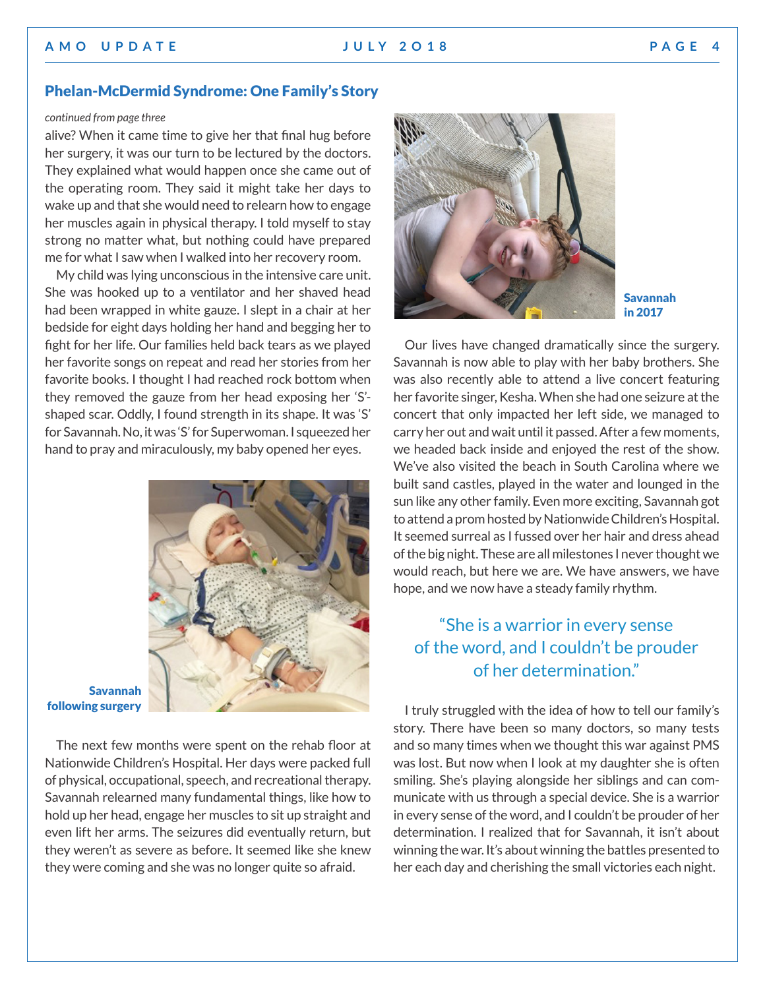# **A M O U P D A T E J U LY 2 O 1 8 P A G E 4**

# Phelan-McDermid Syndrome: One Family's Story

# *continued from page three*

alive? When it came time to give her that final hug before her surgery, it was our turn to be lectured by the doctors. They explained what would happen once she came out of the operating room. They said it might take her days to wake up and that she would need to relearn how to engage her muscles again in physical therapy. I told myself to stay strong no matter what, but nothing could have prepared me for what I saw when I walked into her recovery room.

My child was lying unconscious in the intensive care unit. She was hooked up to a ventilator and her shaved head had been wrapped in white gauze. I slept in a chair at her bedside for eight days holding her hand and begging her to fight for her life. Our families held back tears as we played her favorite songs on repeat and read her stories from her favorite books. I thought I had reached rock bottom when they removed the gauze from her head exposing her 'S' shaped scar. Oddly, I found strength in its shape. It was 'S' for Savannah. No, it was 'S' for Superwoman. I squeezed her hand to pray and miraculously, my baby opened her eyes.



### Savannah following surgery

The next few months were spent on the rehab floor at Nationwide Children's Hospital. Her days were packed full of physical, occupational, speech, and recreational therapy. Savannah relearned many fundamental things, like how to hold up her head, engage her muscles to sit up straight and even lift her arms. The seizures did eventually return, but they weren't as severe as before. It seemed like she knew they were coming and she was no longer quite so afraid.



# Savannah in 2017

Our lives have changed dramatically since the surgery. Savannah is now able to play with her baby brothers. She was also recently able to attend a live concert featuring her favorite singer, Kesha. When she had one seizure at the concert that only impacted her left side, we managed to carry her out and wait until it passed. After a few moments, we headed back inside and enjoyed the rest of the show. We've also visited the beach in South Carolina where we built sand castles, played in the water and lounged in the sun like any other family. Even more exciting, Savannah got to attend a prom hosted by Nationwide Children's Hospital. It seemed surreal as I fussed over her hair and dress ahead of the big night. These are all milestones I never thought we would reach, but here we are. We have answers, we have hope, and we now have a steady family rhythm.

# "She is a warrior in every sense of the word, and I couldn't be prouder of her determination."

I truly struggled with the idea of how to tell our family's story. There have been so many doctors, so many tests and so many times when we thought this war against PMS was lost. But now when I look at my daughter she is often smiling. She's playing alongside her siblings and can communicate with us through a special device. She is a warrior in every sense of the word, and I couldn't be prouder of her determination. I realized that for Savannah, it isn't about winning the war. It's about winning the battles presented to her each day and cherishing the small victories each night.